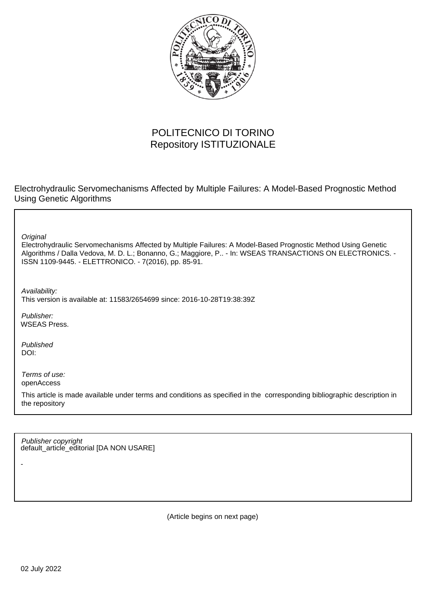

# POLITECNICO DI TORINO Repository ISTITUZIONALE

Electrohydraulic Servomechanisms Affected by Multiple Failures: A Model-Based Prognostic Method Using Genetic Algorithms

**Original** 

Electrohydraulic Servomechanisms Affected by Multiple Failures: A Model-Based Prognostic Method Using Genetic Algorithms / Dalla Vedova, M. D. L.; Bonanno, G.; Maggiore, P.. - In: WSEAS TRANSACTIONS ON ELECTRONICS. - ISSN 1109-9445. - ELETTRONICO. - 7(2016), pp. 85-91.

Availability: This version is available at: 11583/2654699 since: 2016-10-28T19:38:39Z

Publisher: WSEAS Press.

Published DOI:

-

Terms of use: openAccess

This article is made available under terms and conditions as specified in the corresponding bibliographic description in the repository

default\_article\_editorial [DA NON USARE] Publisher copyright

(Article begins on next page)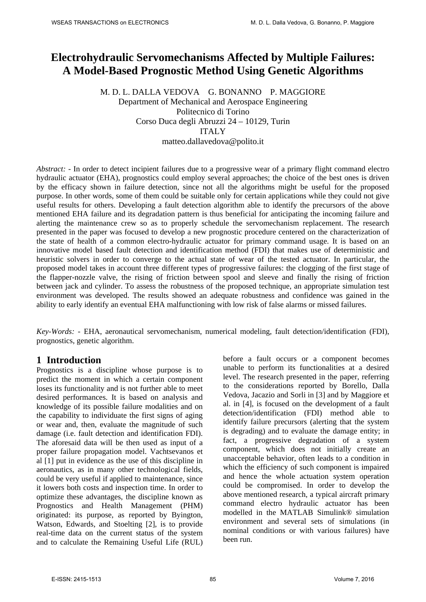# **Electrohydraulic Servomechanisms Affected by Multiple Failures: A Model-Based Prognostic Method Using Genetic Algorithms**

M. D. L. DALLA VEDOVA G. BONANNO P. MAGGIORE Department of Mechanical and Aerospace Engineering Politecnico di Torino Corso Duca degli Abruzzi 24 – 10129, Turin ITAL<sub>Y</sub> matteo.dallavedova@polito.it

*Abstract: -* In order to detect incipient failures due to a progressive wear of a primary flight command electro hydraulic actuator (EHA), prognostics could employ several approaches; the choice of the best ones is driven by the efficacy shown in failure detection, since not all the algorithms might be useful for the proposed purpose. In other words, some of them could be suitable only for certain applications while they could not give useful results for others. Developing a fault detection algorithm able to identify the precursors of the above mentioned EHA failure and its degradation pattern is thus beneficial for anticipating the incoming failure and alerting the maintenance crew so as to properly schedule the servomechanism replacement. The research presented in the paper was focused to develop a new prognostic procedure centered on the characterization of the state of health of a common electro-hydraulic actuator for primary command usage. It is based on an innovative model based fault detection and identification method (FDI) that makes use of deterministic and heuristic solvers in order to converge to the actual state of wear of the tested actuator. In particular, the proposed model takes in account three different types of progressive failures: the clogging of the first stage of the flapper-nozzle valve, the rising of friction between spool and sleeve and finally the rising of friction between jack and cylinder. To assess the robustness of the proposed technique, an appropriate simulation test environment was developed. The results showed an adequate robustness and confidence was gained in the ability to early identify an eventual EHA malfunctioning with low risk of false alarms or missed failures.

*Key-Words: -* EHA, aeronautical servomechanism, numerical modeling, fault detection/identification (FDI), prognostics, genetic algorithm.

### **1 Introduction**

Prognostics is a discipline whose purpose is to predict the moment in which a certain component loses its functionality and is not further able to meet desired performances. It is based on analysis and knowledge of its possible failure modalities and on the capability to individuate the first signs of aging or wear and, then, evaluate the magnitude of such damage (i.e. fault detection and identification FDI). The aforesaid data will be then used as input of a proper failure propagation model. Vachtsevanos et al [1] put in evidence as the use of this discipline in aeronautics, as in many other technological fields, could be very useful if applied to maintenance, since it lowers both costs and inspection time. In order to optimize these advantages, the discipline known as Prognostics and Health Management (PHM) originated: its purpose, as reported by Byington, Watson, Edwards, and Stoelting [2], is to provide real-time data on the current status of the system and to calculate the Remaining Useful Life (RUL) before a fault occurs or a component becomes unable to perform its functionalities at a desired level. The research presented in the paper, referring to the considerations reported by Borello, Dalla Vedova, Jacazio and Sorli in [3] and by Maggiore et al. in [4], is focused on the development of a fault detection/identification (FDI) method able to identify failure precursors (alerting that the system is degrading) and to evaluate the damage entity; in fact, a progressive degradation of a system component, which does not initially create an unacceptable behavior, often leads to a condition in which the efficiency of such component is impaired and hence the whole actuation system operation could be compromised. In order to develop the above mentioned research, a typical aircraft primary command electro hydraulic actuator has been modelled in the MATLAB Simulink® simulation environment and several sets of simulations (in nominal conditions or with various failures) have been run.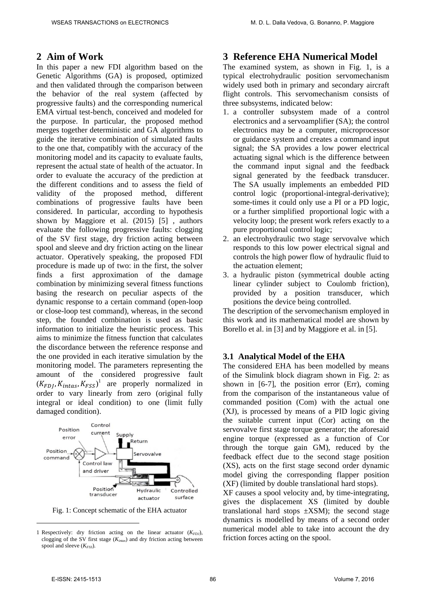## **2 Aim of Work**

In this paper a new FDI algorithm based on the Genetic Algorithms (GA) is proposed, optimized and then validated through the comparison between the behavior of the real system (affected by progressive faults) and the corresponding numerical EMA virtual test-bench, conceived and modeled for the purpose. In particular, the proposed method merges together deterministic and GA algorithms to guide the iterative combination of simulated faults to the one that, compatibly with the accuracy of the monitoring model and its capacity to evaluate faults, represent the actual state of health of the actuator. In order to evaluate the accuracy of the prediction at the different conditions and to assess the field of validity of the proposed method, different combinations of progressive faults have been considered. In particular, according to hypothesis shown by Maggiore et al. (2015) [5] , authors evaluate the following progressive faults: clogging of the SV first stage, dry friction acting between spool and sleeve and dry friction acting on the linear actuator. Operatively speaking, the proposed FDI procedure is made up of two: in the first, the solver finds a first approximation of the damage combination by minimizing several fitness functions basing the research on peculiar aspects of the dynamic response to a certain command (open-loop or close-loop test command), whereas, in the second step, the founded combination is used as basic information to initialize the heuristic process. This aims to minimize the fitness function that calculates the discordance between the reference response and the one provided in each iterative simulation by the monitoring model. The parameters representing the amount of the considered progressive fault  $(K_{FDJ}, K_{intas}, K_{FSS})$ <sup>1</sup> are properly normalized in order to vary linearly from zero (original fully integral or ideal condition) to one (limit fully damaged condition).



Fig. 1: Concept schematic of the EHA actuator

## **3 Reference EHA Numerical Model**

The examined system, as shown in Fig. 1, is a typical electrohydraulic position servomechanism widely used both in primary and secondary aircraft flight controls. This servomechanism consists of three subsystems, indicated below:

- 1. a controller subsystem made of a control electronics and a servoamplifier (SA); the control electronics may be a computer, microprocessor or guidance system and creates a command input signal; the SA provides a low power electrical actuating signal which is the difference between the command input signal and the feedback signal generated by the feedback transducer. The SA usually implements an embedded PID control logic (proportional-integral-derivative); some-times it could only use a PI or a PD logic, or a further simplified proportional logic with a velocity loop; the present work refers exactly to a pure proportional control logic;
- 2. an electrohydraulic two stage servovalve which responds to this low power electrical signal and controls the high power flow of hydraulic fluid to the actuation element;
- 3. a hydraulic piston (symmetrical double acting linear cylinder subject to Coulomb friction), provided by a position transducer, which positions the device being controlled.

The description of the servomechanism employed in this work and its mathematical model are shown by Borello et al. in [3] and by Maggiore et al. in [5].

#### **3.1 Analytical Model of the EHA**

The considered EHA has been modelled by means of the Simulink block diagram shown in Fig. 2: as shown in [6-7], the position error (Err), coming from the comparison of the instantaneous value of commanded position (Com) with the actual one (XJ), is processed by means of a PID logic giving the suitable current input (Cor) acting on the servovalve first stage torque generator; the aforesaid engine torque (expressed as a function of Cor through the torque gain GM), reduced by the feedback effect due to the second stage position (XS), acts on the first stage second order dynamic model giving the corresponding flapper position (XF) (limited by double translational hard stops).

XF causes a spool velocity and, by time-integrating, gives the displacement XS (limited by double translational hard stops  $\pm$ XSM); the second stage dynamics is modelled by means of a second order numerical model able to take into account the dry friction forces acting on the spool.

 $\overline{a}$ 

<sup>1</sup> Respectively: dry friction acting on the linear actuator (K<sub>FDJ</sub>), clogging of the SV first stage (*Kintas*) and dry friction acting between spool and sleeve ( $K_{FSS}$ ).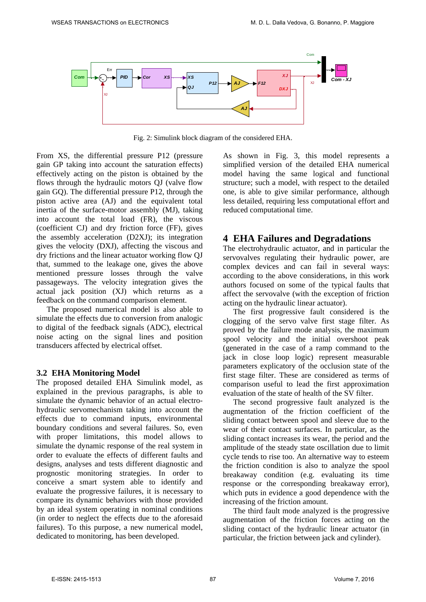

Fig. 2: Simulink block diagram of the considered EHA.

From XS, the differential pressure P12 (pressure gain GP taking into account the saturation effects) effectively acting on the piston is obtained by the flows through the hydraulic motors QJ (valve flow gain GQ). The differential pressure P12, through the piston active area (AJ) and the equivalent total inertia of the surface-motor assembly (MJ), taking into account the total load (FR), the viscous (coefficient CJ) and dry friction force (FF), gives the assembly acceleration (D2XJ); its integration gives the velocity (DXJ), affecting the viscous and dry frictions and the linear actuator working flow QJ that, summed to the leakage one, gives the above mentioned pressure losses through the valve passageways. The velocity integration gives the actual jack position (XJ) which returns as a feedback on the command comparison element.

The proposed numerical model is also able to simulate the effects due to conversion from analogic to digital of the feedback signals (ADC), electrical noise acting on the signal lines and position transducers affected by electrical offset.

#### **3.2 EHA Monitoring Model**

The proposed detailed EHA Simulink model, as explained in the previous paragraphs, is able to simulate the dynamic behavior of an actual electrohydraulic servomechanism taking into account the effects due to command inputs, environmental boundary conditions and several failures. So, even with proper limitations, this model allows to simulate the dynamic response of the real system in order to evaluate the effects of different faults and designs, analyses and tests different diagnostic and prognostic monitoring strategies. In order to conceive a smart system able to identify and evaluate the progressive failures, it is necessary to compare its dynamic behaviors with those provided by an ideal system operating in nominal conditions (in order to neglect the effects due to the aforesaid failures). To this purpose, a new numerical model, dedicated to monitoring, has been developed.

As shown in Fig. 3, this model represents a simplified version of the detailed EHA numerical model having the same logical and functional structure; such a model, with respect to the detailed one, is able to give similar performance, although less detailed, requiring less computational effort and reduced computational time.

#### **4 EHA Failures and Degradations**

The electrohydraulic actuator, and in particular the servovalves regulating their hydraulic power, are complex devices and can fail in several ways: according to the above considerations, in this work authors focused on some of the typical faults that affect the servovalve (with the exception of friction acting on the hydraulic linear actuator).

The first progressive fault considered is the clogging of the servo valve first stage filter. As proved by the failure mode analysis, the maximum spool velocity and the initial overshoot peak (generated in the case of a ramp command to the jack in close loop logic) represent measurable parameters explicatory of the occlusion state of the first stage filter. These are considered as terms of comparison useful to lead the first approximation evaluation of the state of health of the SV filter.

The second progressive fault analyzed is the augmentation of the friction coefficient of the sliding contact between spool and sleeve due to the wear of their contact surfaces. In particular, as the sliding contact increases its wear, the period and the amplitude of the steady state oscillation due to limit cycle tends to rise too. An alternative way to esteem the friction condition is also to analyze the spool breakaway condition (e.g. evaluating its time response or the corresponding breakaway error), which puts in evidence a good dependence with the increasing of the friction amount.

The third fault mode analyzed is the progressive augmentation of the friction forces acting on the sliding contact of the hydraulic linear actuator (in particular, the friction between jack and cylinder).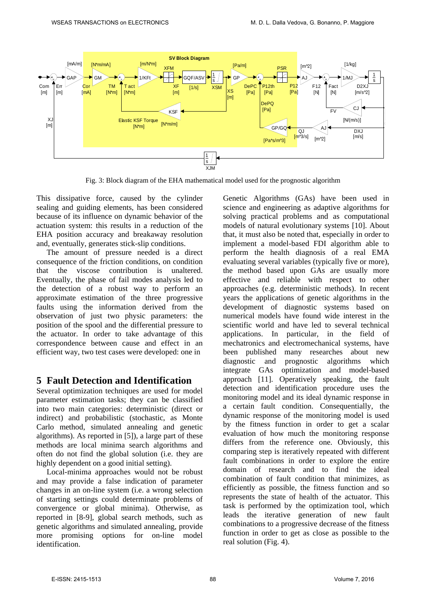

Fig. 3: Block diagram of the EHA mathematical model used for the prognostic algorithm

This dissipative force, caused by the cylinder sealing and guiding elements, has been considered because of its influence on dynamic behavior of the actuation system: this results in a reduction of the EHA position accuracy and breakaway resolution and, eventually, generates stick-slip conditions.

The amount of pressure needed is a direct consequence of the friction conditions, on condition that the viscose contribution is unaltered. Eventually, the phase of fail modes analysis led to the detection of a robust way to perform an approximate estimation of the three progressive faults using the information derived from the observation of just two physic parameters: the position of the spool and the differential pressure to the actuator. In order to take advantage of this correspondence between cause and effect in an efficient way, two test cases were developed: one in

## **5 Fault Detection and Identification**

Several optimization techniques are used for model parameter estimation tasks; they can be classified into two main categories: deterministic (direct or indirect) and probabilistic (stochastic, as Monte Carlo method, simulated annealing and genetic algorithms). As reported in [5]), a large part of these methods are local minima search algorithms and often do not find the global solution (i.e. they are highly dependent on a good initial setting).

Local-minima approaches would not be robust and may provide a false indication of parameter changes in an on-line system (i.e. a wrong selection of starting settings could determinate problems of convergence or global minima). Otherwise, as reported in [8-9], global search methods, such as genetic algorithms and simulated annealing, provide more promising options for on-line model identification.

Genetic Algorithms (GAs) have been used in science and engineering as adaptive algorithms for solving practical problems and as computational models of natural evolutionary systems [10]. About that, it must also be noted that, especially in order to implement a model-based FDI algorithm able to perform the health diagnosis of a real EMA evaluating several variables (typically five or more), the method based upon GAs are usually more effective and reliable with respect to other approaches (e.g. deterministic methods). In recent years the applications of genetic algorithms in the development of diagnostic systems based on numerical models have found wide interest in the scientific world and have led to several technical applications. In particular, in the field of mechatronics and electromechanical systems, have been published many researches about new diagnostic and prognostic algorithms which integrate GAs optimization and model-based approach [11]. Operatively speaking, the fault detection and identification procedure uses the monitoring model and its ideal dynamic response in a certain fault condition. Consequentially, the dynamic response of the monitoring model is used by the fitness function in order to get a scalar evaluation of how much the monitoring response differs from the reference one. Obviously, this comparing step is iteratively repeated with different fault combinations in order to explore the entire domain of research and to find the ideal combination of fault condition that minimizes, as efficiently as possible, the fitness function and so represents the state of health of the actuator. This task is performed by the optimization tool, which leads the iterative generation of new fault combinations to a progressive decrease of the fitness function in order to get as close as possible to the real solution (Fig. 4).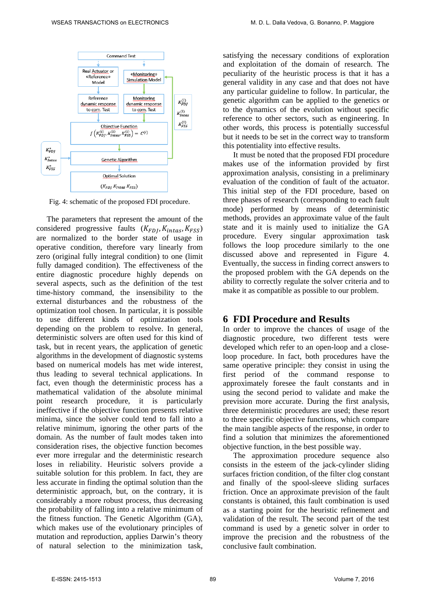

Fig. 4: schematic of the proposed FDI procedure.

The parameters that represent the amount of the considered progressive faults  $(K_{FD}^I, K_{intas}, K_{FSS})$ are normalized to the border state of usage in operative condition, therefore vary linearly from zero (original fully integral condition) to one (limit fully damaged condition). The effectiveness of the entire diagnostic procedure highly depends on several aspects, such as the definition of the test time-history command, the insensibility to the external disturbances and the robustness of the optimization tool chosen. In particular, it is possible to use different kinds of optimization tools depending on the problem to resolve. In general, deterministic solvers are often used for this kind of task, but in recent years, the application of genetic algorithms in the development of diagnostic systems based on numerical models has met wide interest, thus leading to several technical applications. In fact, even though the deterministic process has a mathematical validation of the absolute minimal point research procedure, it is particularly ineffective if the objective function presents relative minima, since the solver could tend to fall into a relative minimum, ignoring the other parts of the domain. As the number of fault modes taken into consideration rises, the objective function becomes ever more irregular and the deterministic research loses in reliability. Heuristic solvers provide a suitable solution for this problem. In fact, they are less accurate in finding the optimal solution than the deterministic approach, but, on the contrary, it is considerably a more robust process, thus decreasing the probability of falling into a relative minimum of the fitness function. The Genetic Algorithm (GA), which makes use of the evolutionary principles of mutation and reproduction, applies Darwin's theory of natural selection to the minimization task, satisfying the necessary conditions of exploration and exploitation of the domain of research. The peculiarity of the heuristic process is that it has a general validity in any case and that does not have any particular guideline to follow. In particular, the genetic algorithm can be applied to the genetics or to the dynamics of the evolution without specific reference to other sectors, such as engineering. In other words, this process is potentially successful but it needs to be set in the correct way to transform this potentiality into effective results.

It must be noted that the proposed FDI procedure makes use of the information provided by first approximation analysis, consisting in a preliminary evaluation of the condition of fault of the actuator. This initial step of the FDI procedure, based on three phases of research (corresponding to each fault mode) performed by means of deterministic methods, provides an approximate value of the fault state and it is mainly used to initialize the GA procedure. Every singular approximation task follows the loop procedure similarly to the one discussed above and represented in Figure 4. Eventually, the success in finding correct answers to the proposed problem with the GA depends on the ability to correctly regulate the solver criteria and to make it as compatible as possible to our problem.

### **6 FDI Procedure and Results**

In order to improve the chances of usage of the diagnostic procedure, two different tests were developed which refer to an open-loop and a closeloop procedure. In fact, both procedures have the same operative principle: they consist in using the first period of the command response to approximately foresee the fault constants and in using the second period to validate and make the prevision more accurate. During the first analysis, three deterministic procedures are used; these resort to three specific objective functions, which compare the main tangible aspects of the response, in order to find a solution that minimizes the aforementioned objective function, in the best possible way.

The approximation procedure sequence also consists in the esteem of the jack-cylinder sliding surfaces friction condition, of the filter clog constant and finally of the spool-sleeve sliding surfaces friction. Once an approximate prevision of the fault constants is obtained, this fault combination is used as a starting point for the heuristic refinement and validation of the result. The second part of the test command is used by a genetic solver in order to improve the precision and the robustness of the conclusive fault combination.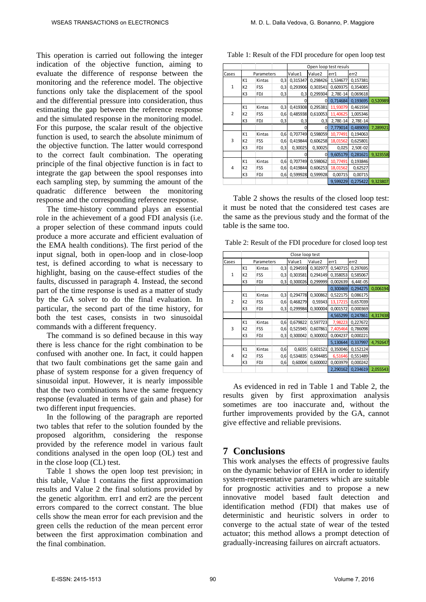This operation is carried out following the integer indication of the objective function, aiming to evaluate the difference of response between the monitoring and the reference model. The objective functions only take the displacement of the spool and the differential pressure into consideration, thus estimating the gap between the reference response and the simulated response in the monitoring model. For this purpose, the scalar result of the objective function is used, to search the absolute minimum of the objective function. The latter would correspond to the correct fault combination. The operating principle of the final objective function is in fact to integrate the gap between the spool responses into each sampling step, by summing the amount of the quadratic difference between the monitoring response and the corresponding reference response.

The time-history command plays an essential role in the achievement of a good FDI analysis (i.e. a proper selection of these command inputs could produce a more accurate and efficient evaluation of the EMA health conditions). The first period of the input signal, both in open-loop and in close-loop test, is defined according to what is necessary to highlight, basing on the cause-effect studies of the faults, discussed in paragraph 4. Instead, the second part of the time response is used as a matter of study by the GA solver to do the final evaluation. In particular, the second part of the time history, for both the test cases, consists in two sinusoidal commands with a different frequency.

The command is so defined because in this way there is less chance for the right combination to be confused with another one. In fact, it could happen that two fault combinations get the same gain and phase of system response for a given frequency of sinusoidal input. However, it is nearly impossible that the two combinations have the same frequency response (evaluated in terms of gain and phase) for two different input frequencies.

In the following of the paragraph are reported two tables that refer to the solution founded by the proposed algorithm, considering the response provided by the reference model in various fault conditions analysed in the open loop (OL) test and in the close loop (CL) test.

Table 1 shows the open loop test prevision; in this table, Value 1 contains the first approximation results and Value 2 the final solutions provided by the genetic algorithm. err1 and err2 are the percent errors compared to the correct constant. The blue cells show the mean error for each prevision and the green cells the reduction of the mean percent error between the first approximation combination and the final combination.

|                |                |            |     | Open loop test resuls |          |          |          |          |
|----------------|----------------|------------|-----|-----------------------|----------|----------|----------|----------|
| Cases          |                | Parameters |     | Value1                | Value2   | err1     | err2     |          |
| $\mathbf{1}$   | K1             | Kintas     | 0,3 | 0,315347              | 0,298426 | 1,534677 | 0,157381 |          |
|                | K <sub>2</sub> | FSS        | 0,3 | 0,293906              | 0,303541 | 0,609375 | 0,354085 |          |
|                | K3             | FDJ        | 0,3 | 0,3                   | 0,299304 | 2,78E-14 | 0,069618 |          |
|                |                |            |     |                       | 0        | 0,714684 | 0,193695 | 0,520989 |
| $\overline{2}$ | K1             | Kintas     | 0,3 | 0,419308              | 0,295381 | 11,93079 | 0,461934 |          |
|                | K <sub>2</sub> | FSS        | 0,6 | 0,485938              | 0,610053 | 11,40625 | 1,005346 |          |
|                | K3             | FDJ        | 0,3 | 0,3                   | 0,3      | 2,78E-14 | 2,78E-14 |          |
|                |                |            |     | 0                     | 0        | 7,779014 | 0,489093 | 7,289921 |
| 3              | K1             | Kintas     | 0,6 | 0,707749              | 0,598059 | 10,77491 | 0,194063 |          |
|                | K <sub>2</sub> | <b>FSS</b> | 0,6 | 0,419844              | 0,606258 | 18,01562 | 0,625801 |          |
|                | K3             | <b>FDJ</b> | 0,3 | 0,30025               | 0,30025  | 0,025    | 2,50E-02 |          |
|                |                |            |     | O                     | $\Omega$ | 9,605179 | 0,281621 | 9,323558 |
| 4              | K1             | Kintas     | 0,6 | 0,707749              | 0,598062 | 10,77491 | 0,193846 |          |
|                | K <sub>2</sub> | <b>FSS</b> | 0,6 | 0,419844              | 0,606253 | 18,01562 | 0,62527  |          |
|                | K3             | <b>FDJ</b> | 0,6 | 0,599928              | 0,599928 | 0,00715  | 0,00715  |          |
|                |                |            |     |                       |          | 9,599229 | 0,275422 | 9,323807 |

Table 1: Result of the FDI procedure for open loop test

Table 2 shows the results of the closed loop test: it must be noted that the considered test cases are the same as the previous study and the format of the table is the same too.

Table 2: Result of the FDI procedure for closed loop test

|                |                | Close loop test |     |          |          |          |          |          |  |
|----------------|----------------|-----------------|-----|----------|----------|----------|----------|----------|--|
| Cases          |                | Parameters      |     | Value1   | Value2   | err1     | err2     |          |  |
|                | K1             | Kintas          | 0,3 | 0,294593 | 0,302977 | 0,540715 | 0,297695 |          |  |
| $\mathbf{1}$   | K <sub>2</sub> | FSS             | 0,3 | 0,303581 | 0,294149 | 0,358053 | 0,585067 |          |  |
|                | K3             | FDJ             | 0,3 | 0,300026 | 0,299999 | 0,002639 | 6,44E-05 |          |  |
|                |                |                 |     |          |          | 0,300469 | 0,294275 | 0,006194 |  |
| $\overline{2}$ | K1             | Kintas          | 0,3 | 0,294778 | 0,300862 | 0,522175 | 0,086175 |          |  |
|                | K <sub>2</sub> | FSS             | 0,6 | 0,468279 | 0,59343  | 13,17215 | 0,657039 |          |  |
|                | K3             | FDJ             | 0,3 | 0,299984 | 0,300004 | 0,001572 | 0,000369 |          |  |
|                |                |                 |     |          |          | 4,565299 | 0,247861 | 4,317438 |  |
| 3              | K1             | Kintas          | 0,6 | 0,679822 | 0,597723 | 7,98223  | 0,227672 |          |  |
|                | K <sub>2</sub> | FSS             | 0,6 | 0,525945 | 0,607861 | 7,405464 | 0,786098 |          |  |
|                | K3             | FDJ             | 0,3 | 0,300042 | 0,300002 | 0,004237 | 0,000221 |          |  |
|                |                |                 |     |          |          | 5,130644 | 0,337997 | 4,792647 |  |
| 4              | K1             | Kintas          | 0,6 | 0,6035   | 0,601521 | 0,350046 | 0,152124 |          |  |
|                | K <sub>2</sub> | FSS             | 0,6 | 0,534835 | 0,594485 | 6,51646  | 0,551489 |          |  |
|                | K3             | FDJ             | 0,6 | 0,60004  | 0,600002 | 0,003979 | 0,000242 |          |  |
|                |                |                 |     |          |          | 2,290162 | 0,234619 | 2,055543 |  |

As evidenced in red in Table 1 and Table 2, the results given by first approximation analysis sometimes are too inaccurate and, without the further improvements provided by the GA, cannot give effective and reliable previsions.

### **7 Conclusions**

This work analyses the effects of progressive faults on the dynamic behavior of EHA in order to identify system-representative parameters which are suitable for prognostic activities and to propose a new innovative model based fault detection and identification method (FDI) that makes use of deterministic and heuristic solvers in order to converge to the actual state of wear of the tested actuator; this method allows a prompt detection of gradually-increasing failures on aircraft actuators.